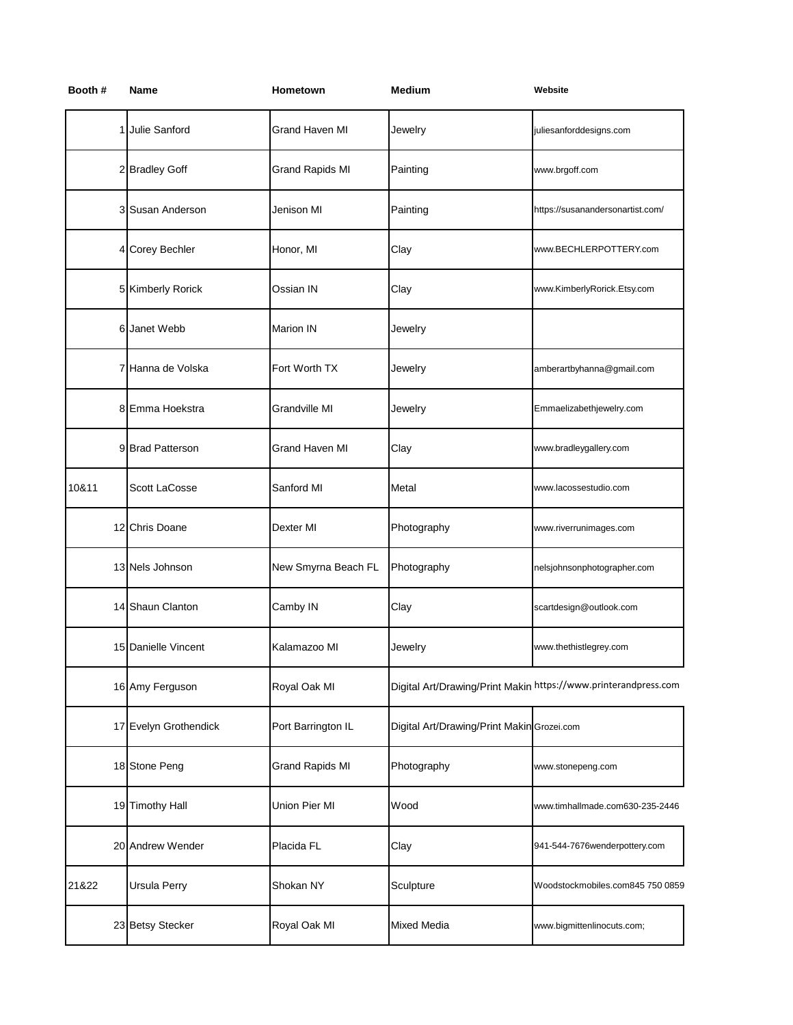| Name          | Hometown                                                                                                                                                                                                                                                                                                                                                             | <b>Medium</b> | Website                                                         |
|---------------|----------------------------------------------------------------------------------------------------------------------------------------------------------------------------------------------------------------------------------------------------------------------------------------------------------------------------------------------------------------------|---------------|-----------------------------------------------------------------|
|               | <b>Grand Haven MI</b>                                                                                                                                                                                                                                                                                                                                                | Jewelry       | juliesanforddesigns.com                                         |
|               | <b>Grand Rapids MI</b>                                                                                                                                                                                                                                                                                                                                               | Painting      | www.brgoff.com                                                  |
|               | Jenison MI                                                                                                                                                                                                                                                                                                                                                           | Painting      | https://susanandersonartist.com/                                |
|               | Honor, MI                                                                                                                                                                                                                                                                                                                                                            | Clay          | www.BECHLERPOTTERY.com                                          |
|               | Ossian IN                                                                                                                                                                                                                                                                                                                                                            | Clay          | www.KimberlyRorick.Etsy.com                                     |
| Janet Webb    | Marion IN                                                                                                                                                                                                                                                                                                                                                            | Jewelry       |                                                                 |
|               | Fort Worth TX                                                                                                                                                                                                                                                                                                                                                        | Jewelry       | amberartbyhanna@gmail.com                                       |
|               | Grandville MI                                                                                                                                                                                                                                                                                                                                                        | Jewelry       | Emmaelizabethjewelry.com                                        |
|               | <b>Grand Haven MI</b>                                                                                                                                                                                                                                                                                                                                                | Clay          | www.bradleygallery.com                                          |
| Scott LaCosse | Sanford MI                                                                                                                                                                                                                                                                                                                                                           | Metal         | www.lacossestudio.com                                           |
|               | Dexter MI                                                                                                                                                                                                                                                                                                                                                            | Photography   | www.riverrunimages.com                                          |
|               | New Smyrna Beach FL                                                                                                                                                                                                                                                                                                                                                  | Photography   | nelsjohnsonphotographer.com                                     |
|               | Camby IN                                                                                                                                                                                                                                                                                                                                                             | Clay          | scartdesign@outlook.com                                         |
|               | Kalamazoo MI                                                                                                                                                                                                                                                                                                                                                         | Jewelry       | www.thethistlegrey.com                                          |
|               | Royal Oak MI                                                                                                                                                                                                                                                                                                                                                         |               | Digital Art/Drawing/Print Makin https://www.printerandpress.com |
|               | Port Barrington IL                                                                                                                                                                                                                                                                                                                                                   |               |                                                                 |
|               | Grand Rapids MI                                                                                                                                                                                                                                                                                                                                                      | Photography   | www.stonepeng.com                                               |
|               | Union Pier MI                                                                                                                                                                                                                                                                                                                                                        | Wood          | www.timhallmade.com630-235-2446                                 |
|               | Placida FL                                                                                                                                                                                                                                                                                                                                                           | Clay          | 941-544-7676wenderpottery.com                                   |
| Ursula Perry  | Shokan NY                                                                                                                                                                                                                                                                                                                                                            | Sculpture     | Woodstockmobiles.com845 750 0859                                |
|               | Royal Oak MI                                                                                                                                                                                                                                                                                                                                                         | Mixed Media   | www.bigmittenlinocuts.com;                                      |
|               | 1 Julie Sanford<br>2 Bradley Goff<br>3 Susan Anderson<br>4 Corey Bechler<br>5 Kimberly Rorick<br>Hanna de Volska<br>7<br>8 Emma Hoekstra<br>9 Brad Patterson<br>12 Chris Doane<br>13 Nels Johnson<br>14 Shaun Clanton<br>15 Danielle Vincent<br>16 Amy Ferguson<br>17 Evelyn Grothendick<br>18 Stone Peng<br>19 Timothy Hall<br>20 Andrew Wender<br>23 Betsy Stecker |               | Digital Art/Drawing/Print Makin Grozei.com                      |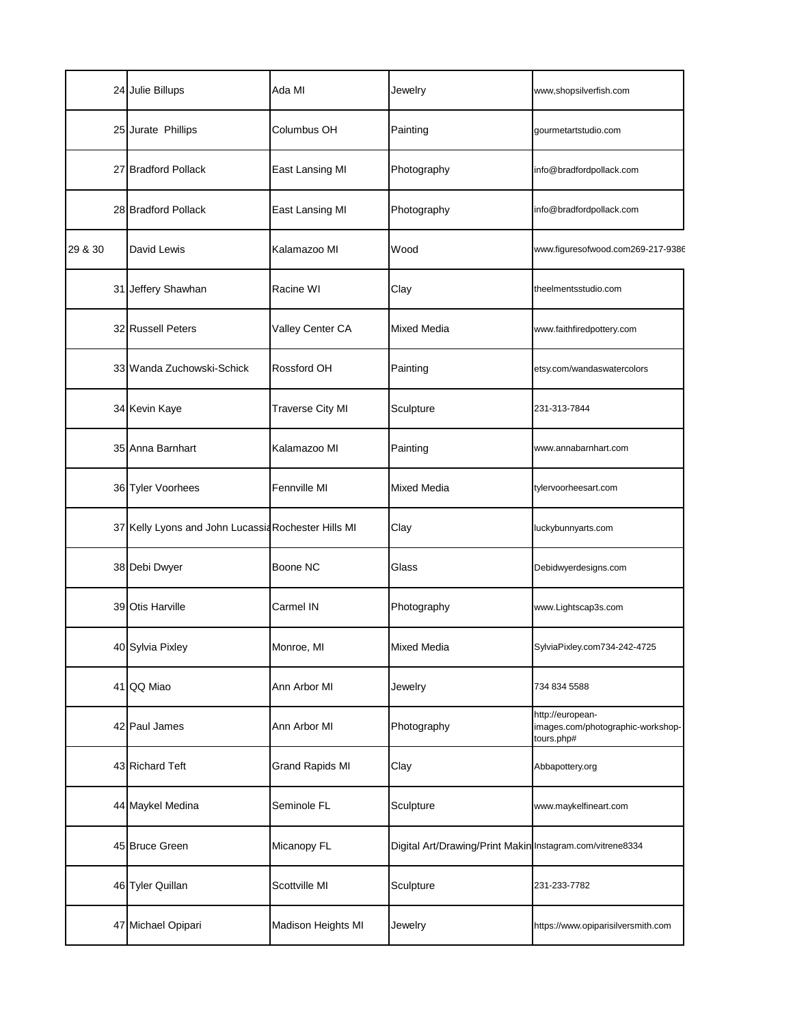|         | 24 Julie Billups                                    | Ada MI                  | Jewelry                                                   | www,shopsilverfish.com                                              |
|---------|-----------------------------------------------------|-------------------------|-----------------------------------------------------------|---------------------------------------------------------------------|
|         | 25 Jurate Phillips                                  | Columbus OH             | Painting                                                  | gourmetartstudio.com                                                |
|         | 27 Bradford Pollack                                 | East Lansing MI         | Photography                                               | info@bradfordpollack.com                                            |
|         | 28 Bradford Pollack                                 | East Lansing MI         | Photography                                               | info@bradfordpollack.com                                            |
| 29 & 30 | David Lewis                                         | Kalamazoo MI            | Wood                                                      | www.figuresofwood.com269-217-9386                                   |
|         | 31 Jeffery Shawhan                                  | Racine WI               | Clay                                                      | theelmentsstudio.com                                                |
|         | 32 Russell Peters                                   | Valley Center CA        | Mixed Media                                               | www.faithfiredpottery.com                                           |
|         | 33 Wanda Zuchowski-Schick                           | Rossford OH             | Painting                                                  | etsy.com/wandaswatercolors                                          |
|         | 34 Kevin Kaye                                       | <b>Traverse City MI</b> | Sculpture                                                 | 231-313-7844                                                        |
|         | 35 Anna Barnhart                                    | Kalamazoo MI            | Painting                                                  | www.annabarnhart.com                                                |
|         | 36 Tyler Voorhees                                   | Fennville MI            | Mixed Media                                               | tylervoorheesart.com                                                |
|         | 37 Kelly Lyons and John Lucassia Rochester Hills MI |                         | Clay                                                      | luckybunnyarts.com                                                  |
|         | 38 Debi Dwyer                                       | Boone NC                | Glass                                                     | Debidwyerdesigns.com                                                |
|         | 39 Otis Harville                                    | Carmel IN               | Photography                                               | www.Lightscap3s.com                                                 |
|         | 40 Sylvia Pixley                                    | Monroe, MI              | Mixed Media                                               | SylviaPixley.com734-242-4725                                        |
|         | 41 QQ Miao                                          | Ann Arbor MI            | Jewelry                                                   | 734 834 5588                                                        |
|         | 42 Paul James                                       | Ann Arbor MI            | Photography                                               | http://european-<br>images.com/photographic-workshop-<br>tours.php# |
|         | 43 Richard Teft                                     | <b>Grand Rapids MI</b>  | Clay                                                      | Abbapottery.org                                                     |
|         | 44 Maykel Medina                                    | Seminole FL             | Sculpture                                                 | www.maykelfineart.com                                               |
|         | 45 Bruce Green                                      | Micanopy FL             | Digital Art/Drawing/Print Makin Instagram.com/vitrene8334 |                                                                     |
|         | 46 Tyler Quillan                                    | Scottville MI           | Sculpture                                                 | 231-233-7782                                                        |
|         | 47 Michael Opipari                                  | Madison Heights MI      | Jewelry                                                   | https://www.opiparisilversmith.com                                  |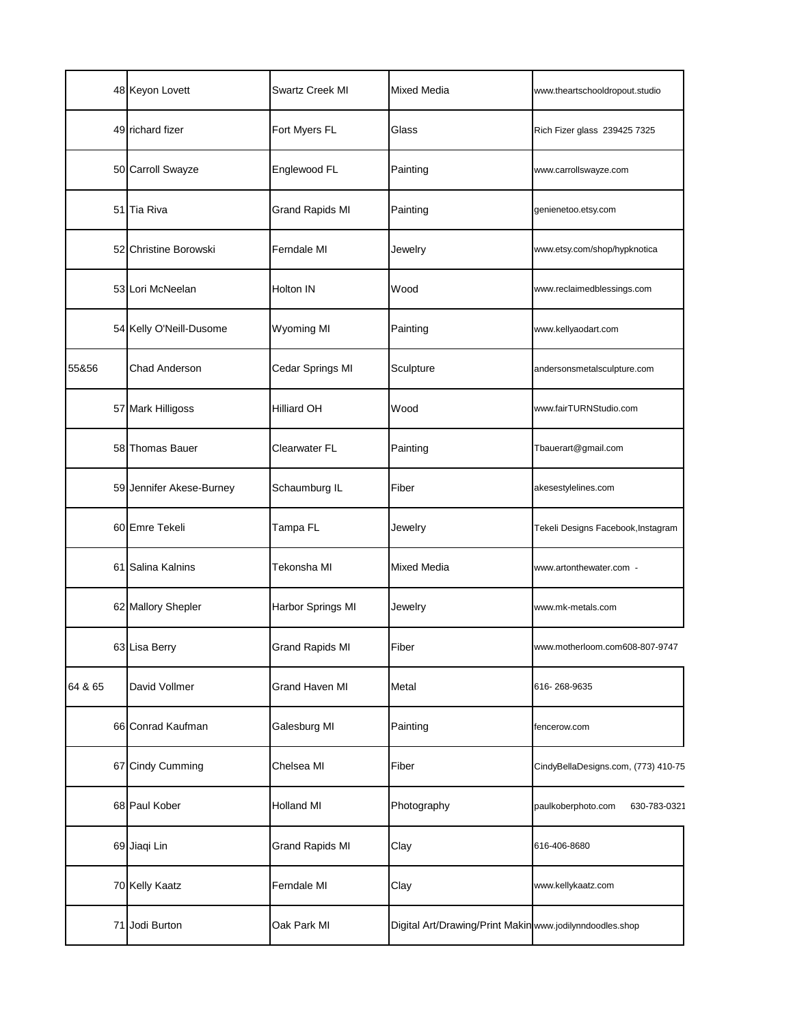|         | 48 Keyon Lovett          | Swartz Creek MI        | Mixed Media                                              | www.theartschooldropout.studio      |
|---------|--------------------------|------------------------|----------------------------------------------------------|-------------------------------------|
|         | 49 richard fizer         | Fort Myers FL          | Glass                                                    | Rich Fizer glass 239425 7325        |
|         | 50 Carroll Swayze        | Englewood FL           | Painting                                                 | www.carrollswayze.com               |
|         | 51 Tia Riva              | <b>Grand Rapids MI</b> | Painting                                                 | genienetoo.etsy.com                 |
|         | 52 Christine Borowski    | Ferndale MI            | Jewelry                                                  | www.etsy.com/shop/hypknotica        |
|         | 53 Lori McNeelan         | Holton IN              | Wood                                                     | www.reclaimedblessings.com          |
|         | 54 Kelly O'Neill-Dusome  | Wyoming MI             | Painting                                                 | www.kellyaodart.com                 |
| 55&56   | Chad Anderson            | Cedar Springs MI       | Sculpture                                                | andersonsmetalsculpture.com         |
|         | 57 Mark Hilligoss        | <b>Hilliard OH</b>     | Wood                                                     | www.fairTURNStudio.com              |
|         | 58 Thomas Bauer          | Clearwater FL          | Painting                                                 | Tbauerart@gmail.com                 |
|         | 59 Jennifer Akese-Burney | Schaumburg IL          | Fiber                                                    | akesestylelines.com                 |
|         | 60 Emre Tekeli           | Tampa FL               | Jewelry                                                  | Tekeli Designs Facebook, Instagram  |
|         | 61 Salina Kalnins        | Tekonsha MI            | Mixed Media                                              | www.artonthewater.com -             |
|         | 62 Mallory Shepler       | Harbor Springs MI      | Jewelry                                                  | www.mk-metals.com                   |
|         | 63 Lisa Berry            | <b>Grand Rapids MI</b> | Fiber                                                    | www.motherloom.com608-807-9747      |
| 64 & 65 | David Vollmer            | Grand Haven MI         | Metal                                                    | 616-268-9635                        |
|         | 66 Conrad Kaufman        | Galesburg MI           | Painting                                                 | fencerow.com                        |
|         | 67 Cindy Cumming         | Chelsea MI             | Fiber                                                    | CindyBellaDesigns.com, (773) 410-75 |
|         | 68 Paul Kober            | <b>Holland MI</b>      | Photography                                              | paulkoberphoto.com<br>630-783-0321  |
|         | 69 Jiaqi Lin             | <b>Grand Rapids MI</b> | Clay                                                     | 616-406-8680                        |
|         | 70 Kelly Kaatz           | Ferndale MI            | Clay                                                     | www.kellykaatz.com                  |
|         | 71 Jodi Burton           | Oak Park MI            | Digital Art/Drawing/Print Makin www.jodilynndoodles.shop |                                     |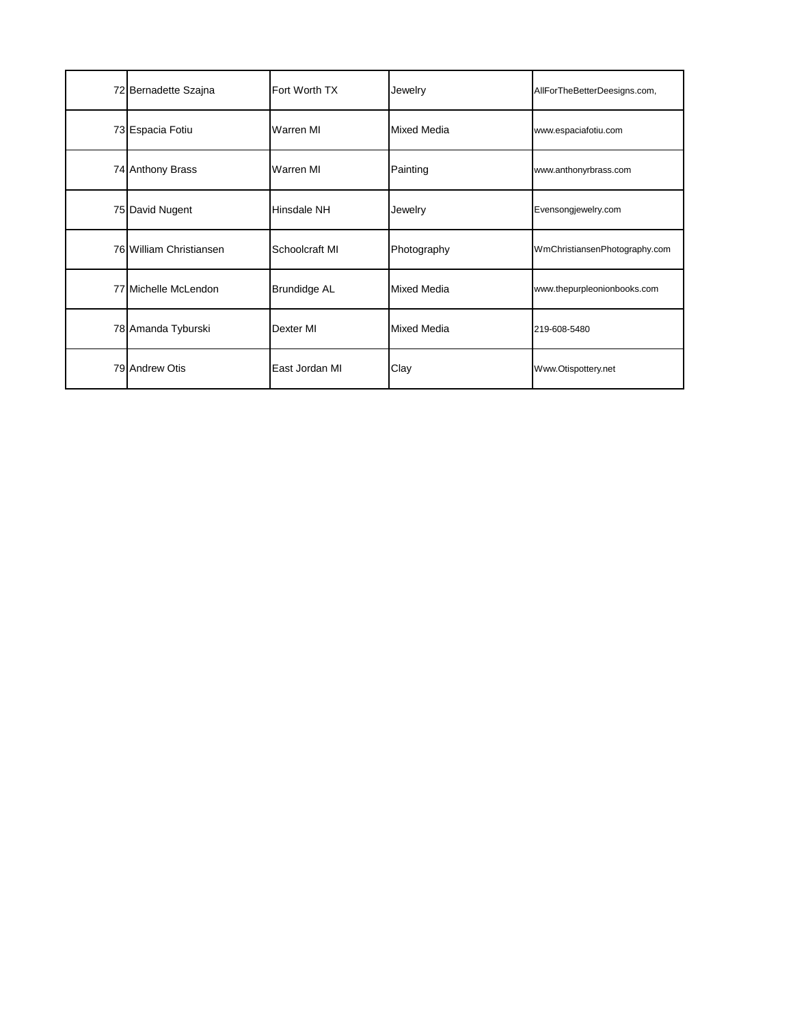| 72 Bernadette Szajna    | Fort Worth TX       | Jewelry            | AllForTheBetterDeesigns.com,  |
|-------------------------|---------------------|--------------------|-------------------------------|
| 73 Espacia Fotiu        | Warren MI           | <b>Mixed Media</b> | www.espaciafotiu.com          |
| 74 Anthony Brass        | Warren MI           | Painting           | www.anthonyrbrass.com         |
| 75 David Nugent         | Hinsdale NH         | Jewelry            | Evensongjewelry.com           |
| 76 William Christiansen | Schoolcraft MI      | Photography        | WmChristiansenPhotography.com |
| 77 Michelle McLendon    | <b>Brundidge AL</b> | <b>Mixed Media</b> | www.thepurpleonionbooks.com   |
| 78 Amanda Tyburski      | Dexter MI           | <b>Mixed Media</b> | 219-608-5480                  |
| 79 Andrew Otis          | East Jordan MI      | Clay               | Www.Otispottery.net           |